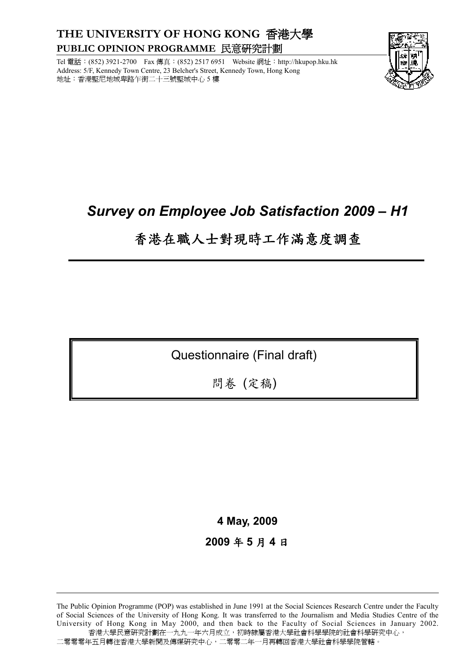## **THE UNIVERSITY OF HONG KONG** 香港大學 **PUBLIC OPINION PROGRAMME** 民意研究計劃

Tel 電話:(852) 3921-2700 Fax 傳真:(852) 2517 6951 Website 網址:http://hkupop.hku.hk Address: 5/F, Kennedy Town Centre, 23 Belcher's Street, Kennedy Town, Hong Kong 地址:香港堅尼地城卑路乍街二十三號堅城中心 5 樓



# *Survey on Employee Job Satisfaction 2009 – H1*

# 香港在職人士對現時工作滿意度調查

Questionnaire (Final draft)

問卷 (定稿)

**4 May, 2009** 

**2009** 年 **5** 月 **4** 日

The Public Opinion Programme (POP) was established in June 1991 at the Social Sciences Research Centre under the Faculty of Social Sciences of the University of Hong Kong. It was transferred to the Journalism and Media Studies Centre of the University of Hong Kong in May 2000, and then back to the Faculty of Social Sciences in January 2002. 香港大學民意研究計劃在一九九一年六月成立,初時隸屬香港大學社會科學學院的社會科學研究中心, 二零零零年五月轉往香港大學新聞及傳媒研究中心,二零零二年一月再轉回香港大學社會科學學院管轄。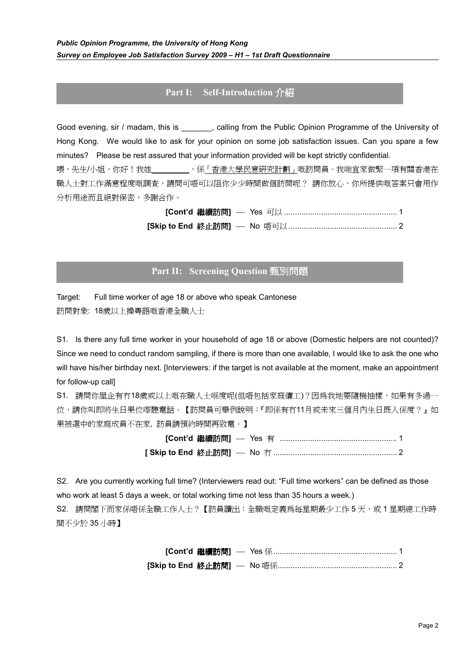## **Part I: Self-Introduction** 介紹

Good evening, sir / madam, this is \_\_\_\_\_\_\_, calling from the Public Opinion Programme of the University of Hong Kong. We would like to ask for your opinion on some job satisfaction issues. Can you spare a few minutes? Please be rest assured that your information provided will be kept strictly confidential. 喂,先生/小姐,你好!我姓 \_\_\_\_\_\_\_\_\_\_\_\_,係「香港大學民意研究計劃」嘅訪問員。我哋宜家做緊一項有關香港在 職人士對工作滿意程度嘅調查,請問可唔可以阻你少少時間做個訪問呢? 請你放心,你所提供嘅答案只會用作 分析用途而且絕對保密,多謝合作。

> **[Cont'd** 繼續訪問**]** Yes 可以 .................................................... 1 **[Skip to End** 終止訪問**]** No 唔可以.................................................. 2

## **Part II: Screening Question** 甄別問題

Target: Full time worker of age 18 or above who speak Cantonese 訪問對象: 18歲以上操粵語嘅香港全職人士

S1. Is there any full time worker in your household of age 18 or above (Domestic helpers are not counted)? Since we need to conduct random sampling, if there is more than one available, I would like to ask the one who will have his/her birthday next. [Interviewers: if the target is not available at the moment, make an appointment for follow-up call]

S1. 請問你屋企有冇18歲或以上嘅在職人士喺度呢(但唔包括家庭傭工)?因爲我地要隨機抽樣,如果有多過一 位,請你叫即將生日果位嚟聽電話。【訪問員可舉例說明:『即係有冇11月或未來三個月內生日既人係度?』如 果被選中的家庭成員不在家, 訪員請預約時間再致電。】

> **[Cont'd** 繼續訪問**]** Yes 有 ...................................................... 1 **[ Skip to End** 終止訪問**]** No 冇 ......................................................... 2

S2. Are you currently working full time? (Interviewers read out: "Full time workers" can be defined as those who work at least 5 days a week, or total working time not less than 35 hours a week.) S2. 請問閣下而家係唔係全職工作人士?【訪員讀出:全職嘅定義爲每星期最少工作 5 天,或 1 星期總工作時 間不少於 35 小時】

> **[Cont'd** 繼續訪問**]** Yes 係......................................................... 1 **[Skip to End** 終止訪問**]** No 唔係....................................................... 2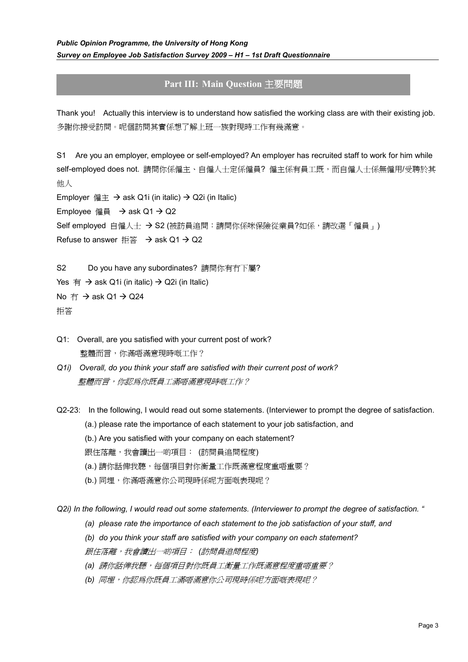## **Part III: Main Question** 主要問題

Thank you! Actually this interview is to understand how satisfied the working class are with their existing job. 多謝你接受訪問。呢個訪問其實係想了解上班一族對現時工作有幾滿意。

S1 Are you an employer, employee or self-employed? An employer has recruited staff to work for him while self-employed does not. 請問你係僱主、自僱人士定係僱員? 僱主係有員工既,而自僱人士係無僱用/受聘於其 他人

Employer  $\textcircled{if} \pm \rightarrow \text{ask } \text{Q1i}$  (in italic)  $\rightarrow \text{Q2i}$  (in Italic)

Employee 僱員  $\rightarrow$  ask Q1  $\rightarrow$  Q2

Self employed 自僱人士 → S2 (被訪員追問:請問你係咪保險從業員?如係,請改選「僱員」)

Refuse to answer 拒答  $\rightarrow$  ask Q1  $\rightarrow$  Q2

S2 Do you have any subordinates? 請問你有冇下屬?

Yes  $\overline{f}$   $\rightarrow$  ask Q1i (in italic)  $\rightarrow$  Q2i (in Italic)

No  $\overline{f}$   $\rightarrow$  ask Q1  $\rightarrow$  Q24

拒答

- Q1: Overall, are you satisfied with your current post of work? 整體而言,你滿唔滿意現時嘅工作?
- *Q1i) Overall, do you think your staff are satisfied with their current post of work?*  整體而言,你認為你既員工滿唔滿意現時嘅工作?
- Q2-23: In the following, I would read out some statements. (Interviewer to prompt the degree of satisfaction. (a.) please rate the importance of each statement to your job satisfaction, and
	- (b.) Are you satisfied with your company on each statement?
	- 跟住落離,我會讀出一啲項目: (訪問員追問程度)
	- (a.) 請你話俾我聽, 每個項目對你衡量工作既滿意程度重唔重要?
	- (b.) 同埋,你滿唔滿意你公司現時係呢方面嘅表現呢?

#### *Q2i) In the following, I would read out some statements. (Interviewer to prompt the degree of satisfaction. "*

- *(a) please rate the importance of each statement to the job satisfaction of your staff, and*
- *(b) do you think your staff are satisfied with your company on each statement?*

跟住落離,我會讀出一啲項目: *(*訪問員追問程度*)* 

- *(a)* 請你話俾我聽,每個項目對你既員工衡量工作既滿意程度重唔重要?
- *(b)* 同埋,你認為你既員工滿唔滿意你公司現時係呢方面嘅表現呢?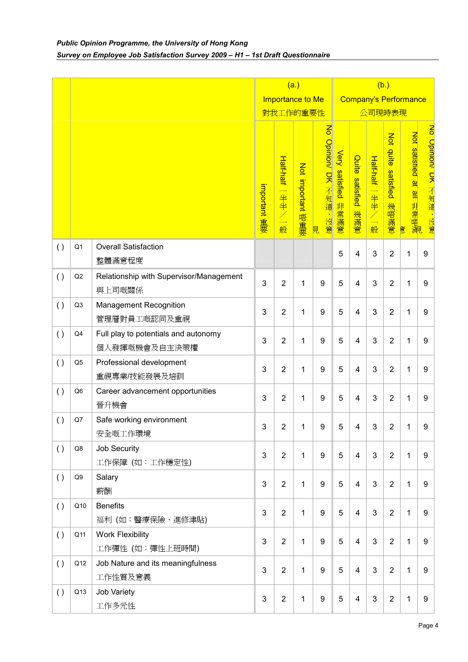|     |                |                                                       | (a.)<br>(b.)     |                                                              |                   |                                              |                               |                           |                                                    |                                          |                               |                      |
|-----|----------------|-------------------------------------------------------|------------------|--------------------------------------------------------------|-------------------|----------------------------------------------|-------------------------------|---------------------------|----------------------------------------------------|------------------------------------------|-------------------------------|----------------------|
|     |                |                                                       | Importance to Me |                                                              |                   | <b>Company's Performance</b>                 |                               |                           |                                                    |                                          |                               |                      |
|     |                |                                                       | 對我工作的重要性         |                                                              |                   |                                              | 公司現時表現                        |                           |                                                    |                                          |                               |                      |
|     |                |                                                       | important 重要     | Half-half<br>$\overline{\phantom{0}}$<br>半半<br>$\angle$<br>般 | Not important 唔重要 | $\overline{5}$<br>Opinion/ DK 不知道<br>沒意<br>見 | <b>Very satisfied</b><br>非常滿意 | Quite<br>satisfied<br>幾滿意 | Half-half<br>$\overline{\phantom{0}}$<br>半半/二<br>般 | Not<br>duite<br><b>satisfied</b><br>幾唔滿意 | Not satismed at all 非常唔減<br>意 | No Cpnnon/ LK 不知道、沒意 |
| ( ) | Q1             | <b>Overall Satisfaction</b><br>整體滿意程度                 |                  |                                                              |                   |                                              | 5                             | 4                         | 3                                                  | $\overline{2}$                           | 1                             | 9                    |
| ( ) | Q2             | Relationship with Supervisor/Management<br>與上司嘅關係     | 3                | $\overline{2}$                                               | 1                 | 9                                            | 5                             | $\overline{4}$            | 3                                                  | $\overline{2}$                           | 1                             | 9                    |
| ( ) | Q <sub>3</sub> | <b>Management Recognition</b><br>管理層對員工嘅認同及重視         | 3                | $\overline{2}$                                               | 1                 | 9                                            | 5                             | 4                         | 3                                                  | $\overline{2}$                           | 1                             | 9                    |
| ( ) | Q4             | Full play to potentials and autonomy<br>個人發揮嘅機會及自主決策權 | 3                | $\overline{2}$                                               | 1                 | 9                                            | 5                             | 4                         | 3                                                  | $\overline{2}$                           | 1                             | 9                    |
| ( ) | Q <sub>5</sub> | Professional development<br>重視專業/技能發展及培訓              | 3                | $\overline{2}$                                               | 1                 | 9                                            | 5                             | $\overline{4}$            | 3                                                  | $\overline{2}$                           | 1                             | 9                    |
| ( ) | Q <sub>6</sub> | Career advancement opportunities<br>晉升機會              | 3                | $\overline{2}$                                               | 1                 | 9                                            | 5                             | 4                         | 3                                                  | $\overline{2}$                           | 1                             | 9                    |
| ( ) | Q7             | Safe working environment<br>安全嘅工作環境                   | 3                | 2                                                            | 1                 | 9                                            | 5                             | 4                         | 3                                                  | $\overline{2}$                           | 1                             | 9                    |
| ( ) | Q8             | Job Security<br>工作保障 (如:工作穩定性)                        | 3                | $\overline{2}$                                               | 1                 | 9                                            | 5                             | $\overline{4}$            | 3                                                  | $\overline{2}$                           | 1                             | 9                    |
| ( ) | Q9             | Salary<br>薪酬                                          | 3                | $\overline{2}$                                               | 1                 | 9                                            | 5                             | $\overline{4}$            | 3                                                  | $\overline{2}$                           | 1                             | 9                    |
| ( ) | Q10            | <b>Benefits</b><br>福利 (如:醫療保險、進修津貼)                   | 3                | $\overline{2}$                                               | 1                 | 9                                            | 5                             | $\overline{4}$            | 3                                                  | $\overline{2}$                           | 1                             | 9                    |
| ( ) | Q11            | <b>Work Flexibility</b><br>工作彈性 (如:彈性上班時間)            | 3                | $\overline{2}$                                               | 1                 | 9                                            | 5                             | $\overline{4}$            | 3                                                  | $\overline{2}$                           | 1                             | 9                    |
| ( ) | Q12            | Job Nature and its meaningfulness<br>工作性質及意義          | 3                | $\overline{2}$                                               | $\mathbf{1}$      | 9                                            | $\overline{5}$                | $\overline{4}$            | 3                                                  | $\overline{2}$                           | $\mathbf{1}$                  | 9                    |
| ( ) | Q13            | Job Variety<br>工作多元性                                  | 3                | $\overline{2}$                                               | 1                 | $\boldsymbol{9}$                             | 5                             | $\overline{4}$            | 3                                                  | $\overline{2}$                           | $\mathbf 1$                   | $\boldsymbol{9}$     |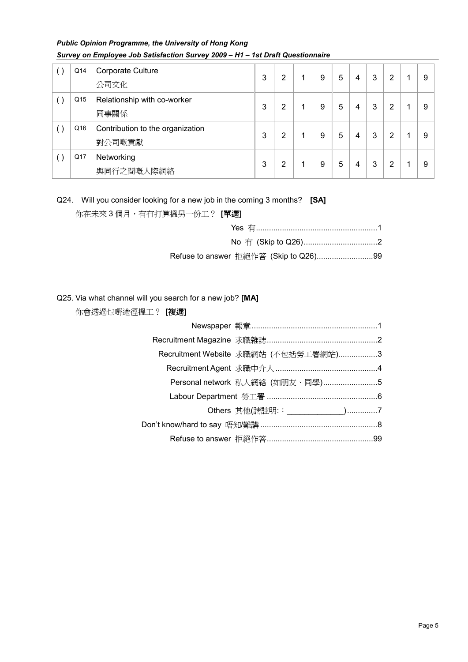## *Public Opinion Programme, the University of Hong Kong Survey on Employee Job Satisfaction Survey 2009 – H1 – 1st Draft Questionnaire*

| Q14             | Corporate Culture<br>公司文化                  | 3 | 2 | 9 | 5 | 4 | 3 | 2 | 9 |
|-----------------|--------------------------------------------|---|---|---|---|---|---|---|---|
| Q <sub>15</sub> | Relationship with co-worker<br>同事關係        | 3 | 2 | 9 | 5 | 4 | 3 | 2 | 9 |
| Q16             | Contribution to the organization<br>對公司嘅貢獻 | 3 | 2 | 9 | 5 | 4 | 3 | 2 | 9 |
| Q17             | Networking<br>與同行之間嘅人際網絡                   | 3 | 2 | 9 | 5 | 4 | 3 | 2 | 9 |

#### Q24. Will you consider looking for a new job in the coming 3 months? **[SA]**

你在未來 3 個月,有冇打算搵另一份工? **[**單選**]**

#### Q25. Via what channel will you search for a new job? **[MA]**

| 仦胃笾迥已嘢述侳揾丄! 【 <b>復迭】</b> |
|--------------------------|

你會透過乜嘢途徑搵工? **[**複選**]**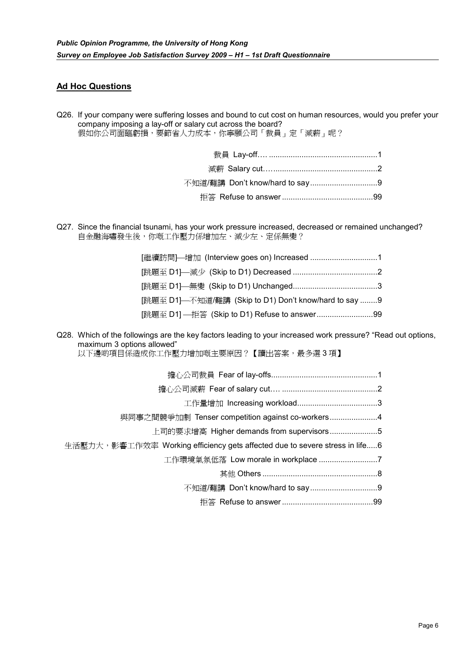### **Ad Hoc Questions**

Q26. If your company were suffering losses and bound to cut cost on human resources, would you prefer your company imposing a lay-off or salary cut across the board? 假如你公司面臨虧損,要節省人力成本,你寧願公司「裁員」定「減薪」呢?

Q27. Since the financial tsunami, has your work pressure increased, decreased or remained unchanged? 自金融海嘯發生後,你嘅工作壓力係增加左、減少左、定係無變?

| [跳題至 D1]—不知道/難講 (Skip to D1) Don't know/hard to say 9 |  |
|-------------------------------------------------------|--|
| [跳題至 D1] —拒答 (Skip to D1) Refuse to answer99          |  |

Q28. Which of the followings are the key factors leading to your increased work pressure? "Read out options, maximum 3 options allowed"

以下邊啲項目係造成你工作壓力增加嘅主要原因?【讀出答案,最多選3項】

| 與同事之間競爭加劇 Tenser competition against co-workers4                            |  |
|-----------------------------------------------------------------------------|--|
| 上司的要求增高 Higher demands from supervisors5                                    |  |
| 生活壓力大,影響工作效率 Working efficiency gets affected due to severe stress in life6 |  |
| 工作環境氣氛低落 Low morale in workplace 7                                          |  |
|                                                                             |  |
|                                                                             |  |
|                                                                             |  |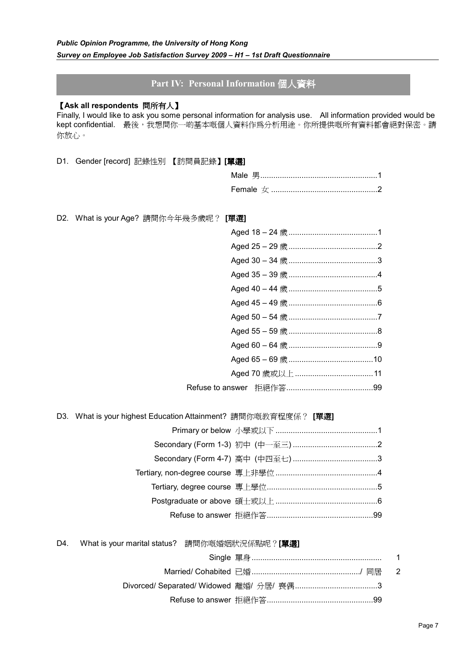## **Part IV: Personal Information** 個人資料

#### 【**Ask all respondents** 問所有人】

Finally, I would like to ask you some personal information for analysis use. All information provided would be kept confidential. 最後,我想問你一啲基本嘅個人資料作為分析用途。你所提供嘅所有資料都會絕對保密。請 你放心。

D1. Gender [record] 記錄性別 【訪問員記錄】**[**單選**]**

D2. What is your Age? 請問你今年幾多歲呢? **[**單選**]**

| Aged 25 - 29 歲 …………………………………2 |
|-------------------------------|
|                               |
|                               |
|                               |
| Aged 45 – 49 歲 …………………………………6 |
|                               |
|                               |
|                               |
|                               |
|                               |
|                               |
|                               |

D3. What is your highest Education Attainment? 請問你嘅教育程度係? **[**單選**]**

Refuse

### D4. What is your marital status? 請問你嘅婚姻狀況係點呢?**[**單選**]**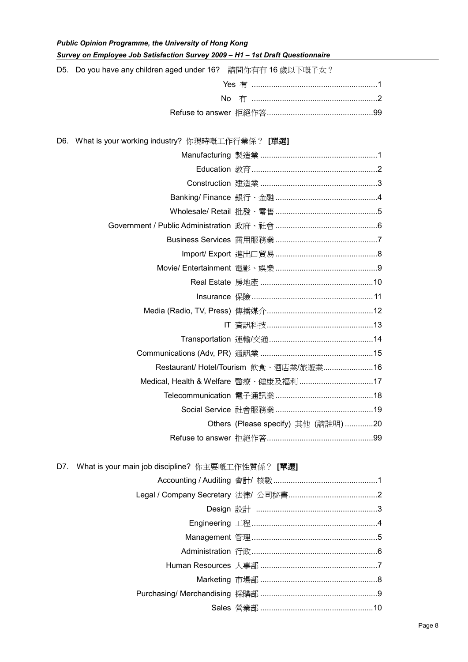*Public Opinion Programme, the University of Hong Kong* 

| Survey on Employee Job Satisfaction Survey 2009 - H1 - 1st Draft Questionnaire |                                        |  |  |  |
|--------------------------------------------------------------------------------|----------------------------------------|--|--|--|
| D5. Do you have any children aged under 16? 請問你有冇 16 歲以下嘅子女?                   |                                        |  |  |  |
|                                                                                |                                        |  |  |  |
|                                                                                |                                        |  |  |  |
|                                                                                |                                        |  |  |  |
|                                                                                |                                        |  |  |  |
| D6. What is your working industry? 你現時嘅工作行業係? [單選]                             |                                        |  |  |  |
|                                                                                |                                        |  |  |  |
|                                                                                |                                        |  |  |  |
|                                                                                |                                        |  |  |  |
|                                                                                |                                        |  |  |  |
|                                                                                |                                        |  |  |  |
|                                                                                |                                        |  |  |  |
|                                                                                |                                        |  |  |  |
|                                                                                |                                        |  |  |  |
|                                                                                |                                        |  |  |  |
|                                                                                |                                        |  |  |  |
|                                                                                |                                        |  |  |  |
|                                                                                |                                        |  |  |  |
|                                                                                |                                        |  |  |  |
|                                                                                |                                        |  |  |  |
|                                                                                |                                        |  |  |  |
|                                                                                | Restaurant/ Hotel/Tourism 飲食、酒店業/旅遊業16 |  |  |  |
|                                                                                |                                        |  |  |  |
|                                                                                |                                        |  |  |  |
|                                                                                |                                        |  |  |  |
|                                                                                | Others (Please specify) 其他 (請註明) 20    |  |  |  |
|                                                                                |                                        |  |  |  |

## D7. What is your main job discipline? 你主要嘅工作性質係? **[**單選**]**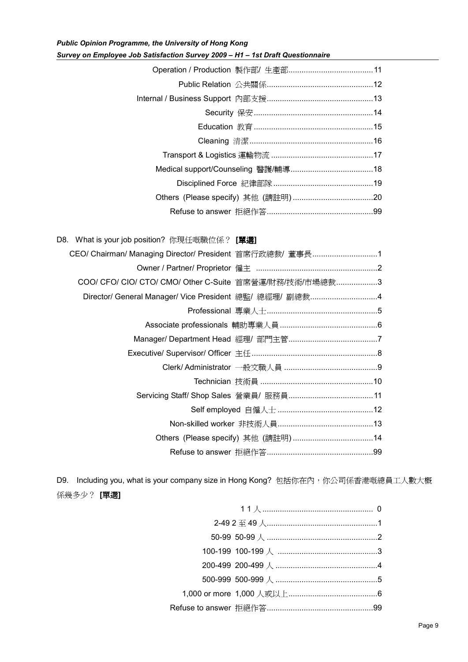*Public Opinion Programme, the University of Hong Kong Survey on Employee Job Satisfaction Survey 2009 – H1 – 1st Draft Questionnaire* 

| CEO/ Chairman/ Managing Director/ President 首席行政總裁/董事長1 |
|---------------------------------------------------------|
|                                                         |
| COO/ CFO/ CIO/ CTO/ CMO/ Other C-Suite 首席營運/財務/技術/市場總裁3 |
| Director/ General Manager/ Vice President 總監/ 總經理/ 副總裁4 |
|                                                         |
|                                                         |
|                                                         |
|                                                         |
|                                                         |
|                                                         |
|                                                         |
|                                                         |
|                                                         |
|                                                         |
|                                                         |
|                                                         |

D9. Including you, what is your company size in Hong Kong? 包括你在內,你公司係香港嘅總員工人數大概 係幾多少? **[**單選**]** 

| 2-49 2 至 49 人……………………………………………1      |  |
|--------------------------------------|--|
|                                      |  |
|                                      |  |
| 200-499 200-499 人 ……………………………………………4 |  |
| 500-999 500-999 人 ……………………………………………5 |  |
|                                      |  |
|                                      |  |
|                                      |  |